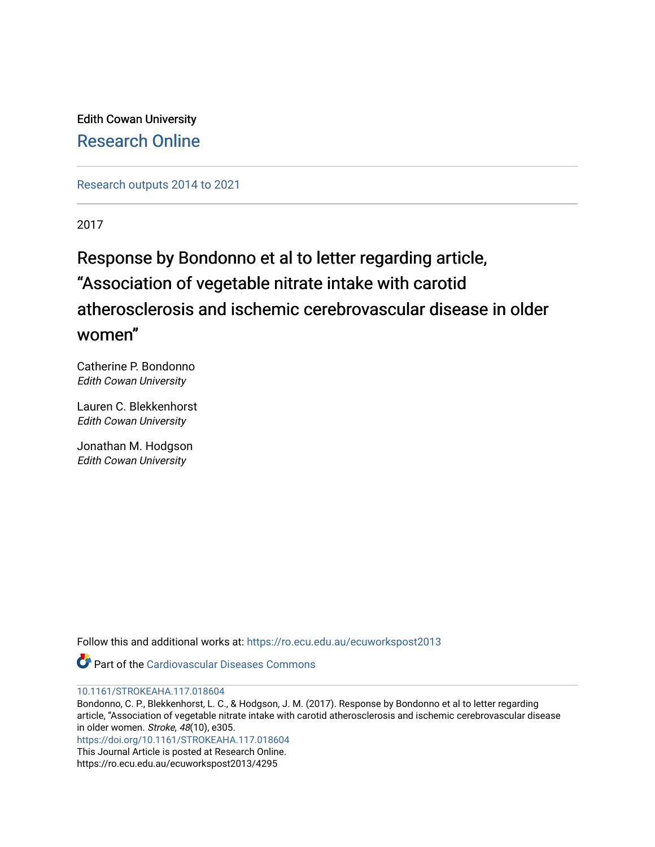Edith Cowan University [Research Online](https://ro.ecu.edu.au/) 

[Research outputs 2014 to 2021](https://ro.ecu.edu.au/ecuworkspost2013) 

2017

# Response by Bondonno et al to letter regarding article, "Association of vegetable nitrate intake with carotid atherosclerosis and ischemic cerebrovascular disease in older women"

Catherine P. Bondonno Edith Cowan University

Lauren C. Blekkenhorst Edith Cowan University

Jonathan M. Hodgson Edith Cowan University

Follow this and additional works at: [https://ro.ecu.edu.au/ecuworkspost2013](https://ro.ecu.edu.au/ecuworkspost2013?utm_source=ro.ecu.edu.au%2Fecuworkspost2013%2F4295&utm_medium=PDF&utm_campaign=PDFCoverPages) 



#### [10.1161/STROKEAHA.117.018604](http://dx.doi.org/10.1161/STROKEAHA.117.018604)

Bondonno, C. P., Blekkenhorst, L. C., & Hodgson, J. M. (2017). Response by Bondonno et al to letter regarding article, "Association of vegetable nitrate intake with carotid atherosclerosis and ischemic cerebrovascular disease in older women. Stroke, 48(10), e305. <https://doi.org/10.1161/STROKEAHA.117.018604>

This Journal Article is posted at Research Online.

https://ro.ecu.edu.au/ecuworkspost2013/4295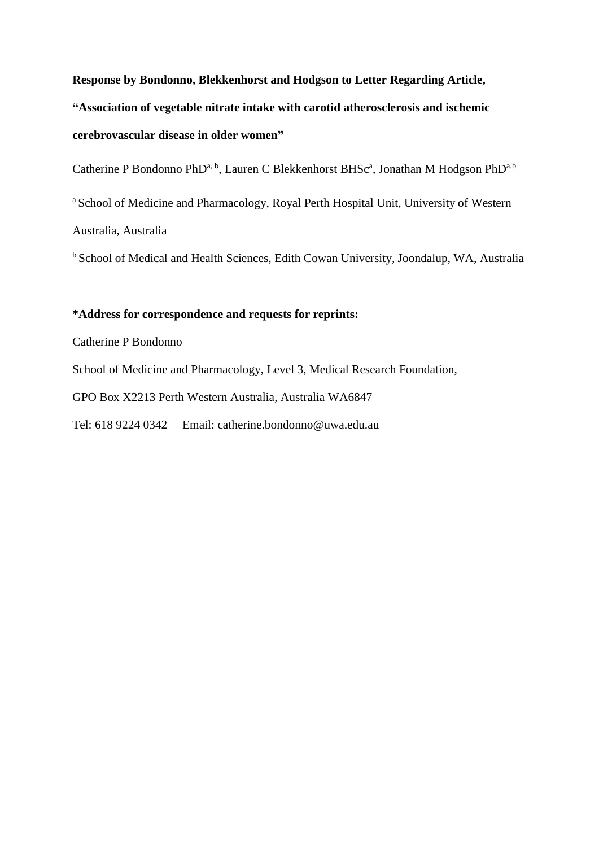**Response by Bondonno, Blekkenhorst and Hodgson to Letter Regarding Article, "Association of vegetable nitrate intake with carotid atherosclerosis and ischemic cerebrovascular disease in older women"**

Catherine P Bondonno PhD<sup>a, b</sup>, Lauren C Blekkenhorst BHSc<sup>a</sup>, Jonathan M Hodgson PhD<sup>a, b</sup>

<sup>a</sup> School of Medicine and Pharmacology, Royal Perth Hospital Unit, University of Western Australia, Australia

<sup>b</sup> School of Medical and Health Sciences, Edith Cowan University, Joondalup, WA, Australia

# **\*Address for correspondence and requests for reprints:**

Catherine P Bondonno

School of Medicine and Pharmacology, Level 3, Medical Research Foundation,

GPO Box X2213 Perth Western Australia, Australia WA6847

Tel: 618 9224 0342 Email: [catherine.bondonno@uwa.edu.au](mailto:catherine.bondonno@uwa.edu.au)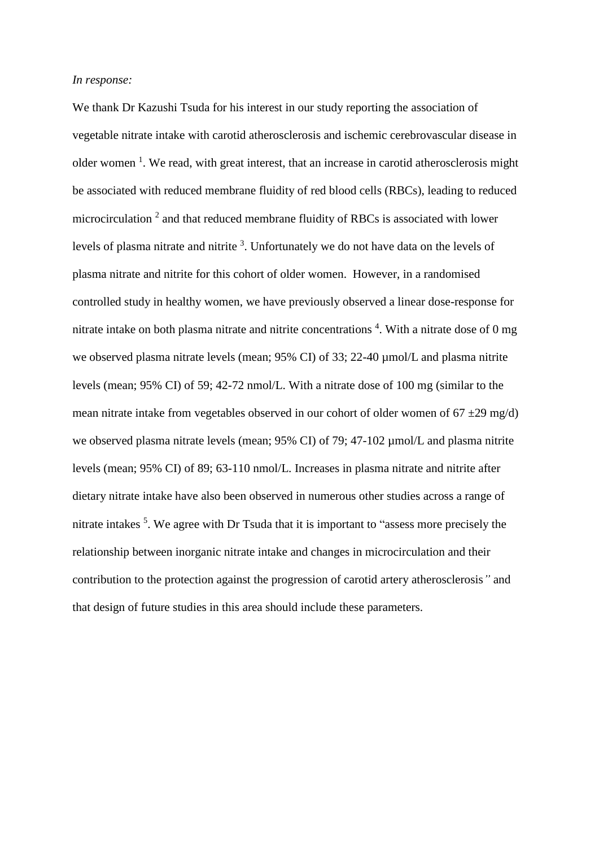#### *In response:*

We thank Dr Kazushi Tsuda for his interest in our study reporting the association of vegetable nitrate intake with carotid atherosclerosis and ischemic cerebrovascular disease in older women<sup>1</sup>. We read, with great interest, that an increase in carotid atherosclerosis might be associated with reduced membrane fluidity of red blood cells (RBCs), leading to reduced microcirculation<sup>2</sup> and that reduced membrane fluidity of RBCs is associated with lower levels of plasma nitrate and nitrite <sup>3</sup>. Unfortunately we do not have data on the levels of plasma nitrate and nitrite for this cohort of older women. However, in a randomised controlled study in healthy women, we have previously observed a linear dose-response for nitrate intake on both plasma nitrate and nitrite concentrations<sup>4</sup>. With a nitrate dose of 0 mg we observed plasma nitrate levels (mean; 95% CI) of 33; 22-40 µmol/L and plasma nitrite levels (mean; 95% CI) of 59; 42-72 nmol/L. With a nitrate dose of 100 mg (similar to the mean nitrate intake from vegetables observed in our cohort of older women of  $67 \pm 29$  mg/d) we observed plasma nitrate levels (mean; 95% CI) of 79; 47-102  $\mu$ mol/L and plasma nitrite levels (mean; 95% CI) of 89; 63-110 nmol/L. Increases in plasma nitrate and nitrite after dietary nitrate intake have also been observed in numerous other studies across a range of nitrate intakes<sup>5</sup>. We agree with Dr Tsuda that it is important to "assess more precisely the relationship between inorganic nitrate intake and changes in microcirculation and their contribution to the protection against the progression of carotid artery atherosclerosis*"* and that design of future studies in this area should include these parameters.